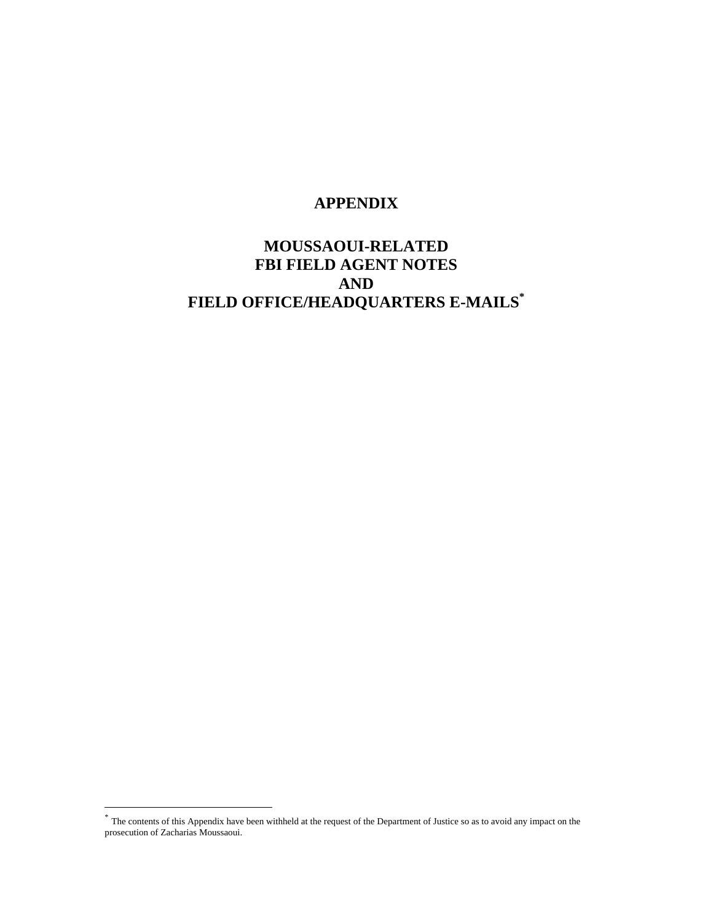#### **APPENDIX**

### **MOUSSAOUI-RELATED FBI FIELD AGENT NOTES AND FIELD OFFICE/HEADQUARTERS E-MAILS\***

<sup>\*</sup> The contents of this Appendix have been withheld at the request of the Department of Justice so as to avoid any impact on the prosecution of Zacharias Moussaoui.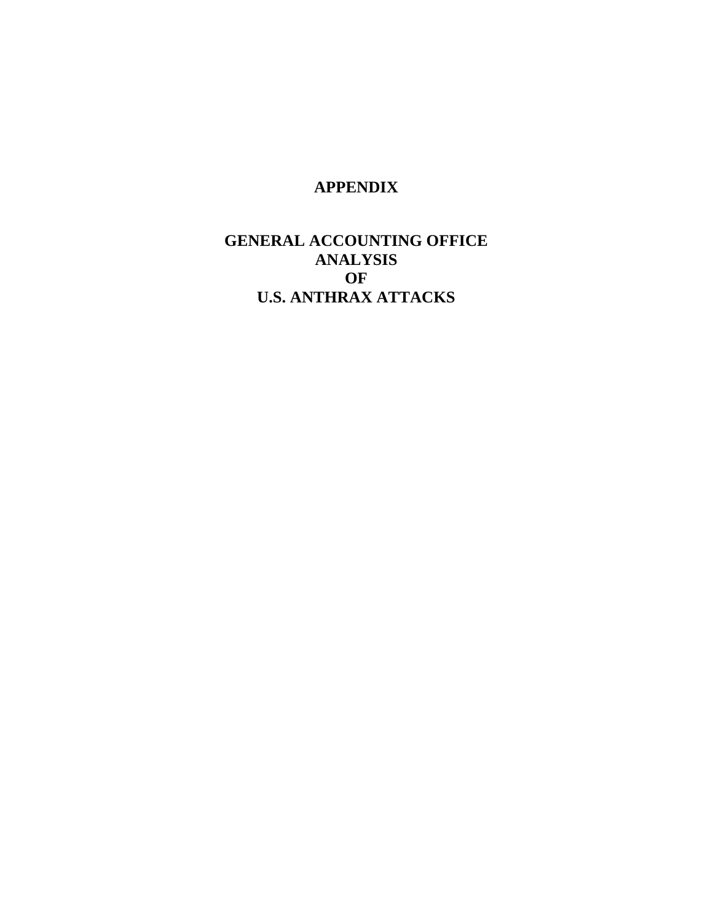#### **APPENDIX**

### **GENERAL ACCOUNTING OFFICE ANALYSIS OF U.S. ANTHRAX ATTACKS**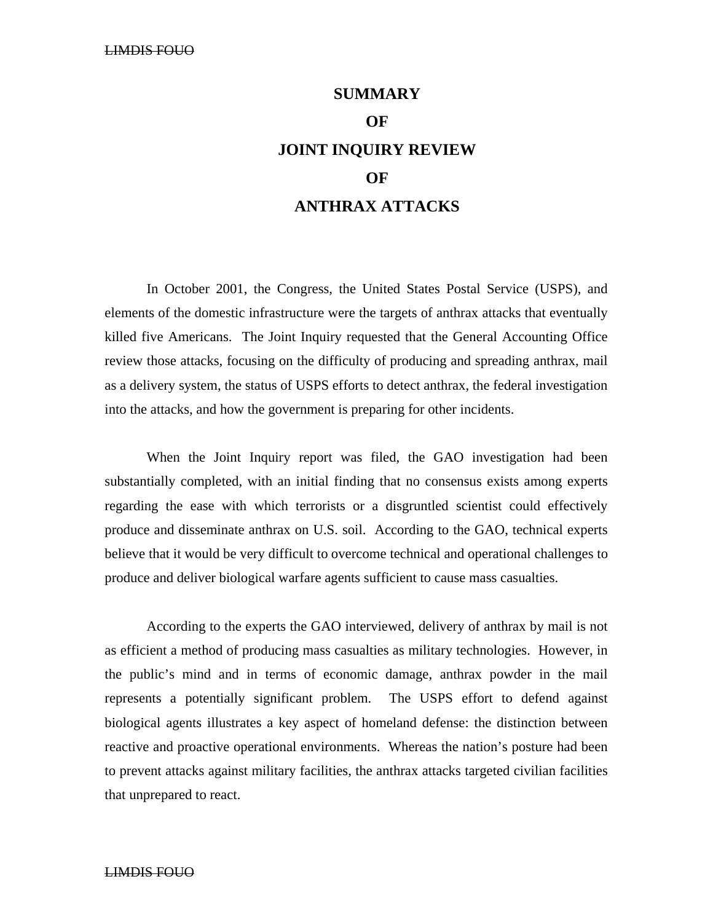## **SUMMARY OF JOINT INQUIRY REVIEW OF ANTHRAX ATTACKS**

In October 2001, the Congress, the United States Postal Service (USPS), and elements of the domestic infrastructure were the targets of anthrax attacks that eventually killed five Americans. The Joint Inquiry requested that the General Accounting Office review those attacks, focusing on the difficulty of producing and spreading anthrax, mail as a delivery system, the status of USPS efforts to detect anthrax, the federal investigation into the attacks, and how the government is preparing for other incidents.

When the Joint Inquiry report was filed, the GAO investigation had been substantially completed, with an initial finding that no consensus exists among experts regarding the ease with which terrorists or a disgruntled scientist could effectively produce and disseminate anthrax on U.S. soil. According to the GAO, technical experts believe that it would be very difficult to overcome technical and operational challenges to produce and deliver biological warfare agents sufficient to cause mass casualties.

According to the experts the GAO interviewed, delivery of anthrax by mail is not as efficient a method of producing mass casualties as military technologies. However, in the public's mind and in terms of economic damage, anthrax powder in the mail represents a potentially significant problem. The USPS effort to defend against biological agents illustrates a key aspect of homeland defense: the distinction between reactive and proactive operational environments. Whereas the nation's posture had been to prevent attacks against military facilities, the anthrax attacks targeted civilian facilities that unprepared to react.

#### LIMDIS FOUO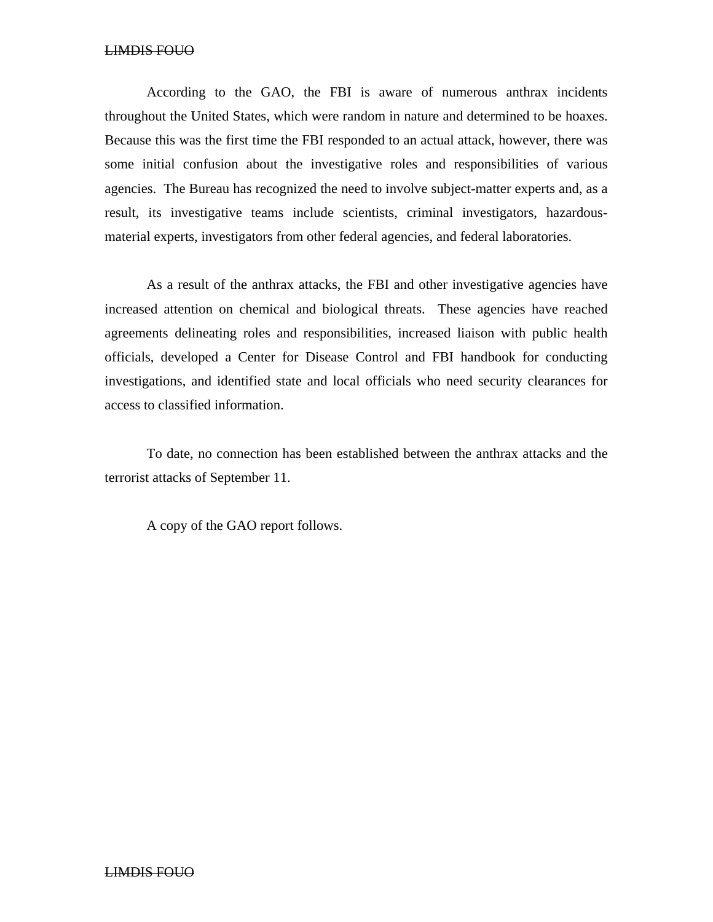#### LIMDIS FOUO

According to the GAO, the FBI is aware of numerous anthrax incidents throughout the United States, which were random in nature and determined to be hoaxes. Because this was the first time the FBI responded to an actual attack, however, there was some initial confusion about the investigative roles and responsibilities of various agencies. The Bureau has recognized the need to involve subject-matter experts and, as a result, its investigative teams include scientists, criminal investigators, hazardousmaterial experts, investigators from other federal agencies, and federal laboratories.

As a result of the anthrax attacks, the FBI and other investigative agencies have increased attention on chemical and biological threats. These agencies have reached agreements delineating roles and responsibilities, increased liaison with public health officials, developed a Center for Disease Control and FBI handbook for conducting investigations, and identified state and local officials who need security clearances for access to classified information.

To date, no connection has been established between the anthrax attacks and the terrorist attacks of September 11.

A copy of the GAO report follows.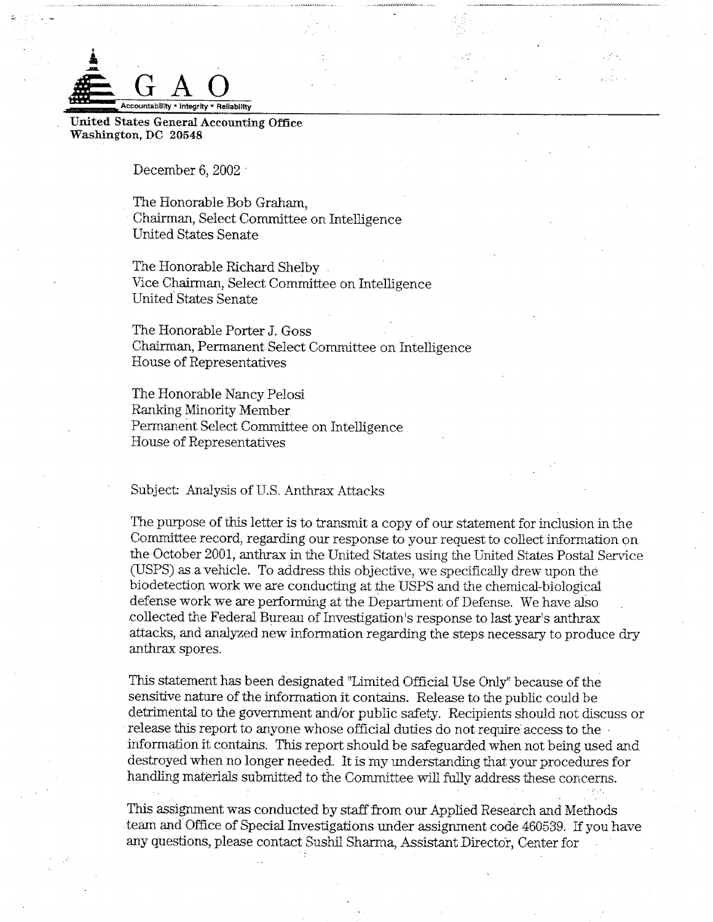

United States General Accounting Office Washington, DC 20548

December 6,  $2002$ 

The Honorable Bob Graham, Chairman, Select Committee on Intelligence **United States Senate** 

The Honorable Richard Shelby. Vice Chairman, Select Committee on Intelligence United States Senate

The Honorable Porter J. Goss Chairman, Permanent Select Committee on Intelligence House of Representatives

The Honorable Nancy Pelosi Ranking Minority Member Permanent Select Committee on Intelligence House of Representatives

Subject: Analysis of U.S. Anthrax Attacks

The purpose of this letter is to transmit a copy of our statement for inclusion in the Committee record, regarding our response to your request to collect information on the October 2001, anthrax in the United States using the United States Postal Service (USPS) as a vehicle. To address this objective, we specifically drew upon the biodetection work we are conducting at the USPS and the chemical-biological defense work we are performing at the Department of Defense. We have also collected the Federal Bureau of Investigation's response to last year's anthrax attacks, and analyzed new information regarding the steps necessary to produce dry anthrax spores.

This statement has been designated "Limited Official Use Only" because of the sensitive nature of the information it contains. Release to the public could be detrimental to the government and/or public safety. Recipients should not discuss or release this report to anyone whose official duties do not require access to the information it contains. This report should be safeguarded when not being used and destroyed when no longer needed. It is my understanding that your procedures for handling materials submitted to the Committee will fully address these concerns.

This assignment was conducted by staff from our Applied Research and Methods team and Office of Special Investigations under assignment code 460539. If you have any questions, please contact Sushil Sharma, Assistant Director, Center for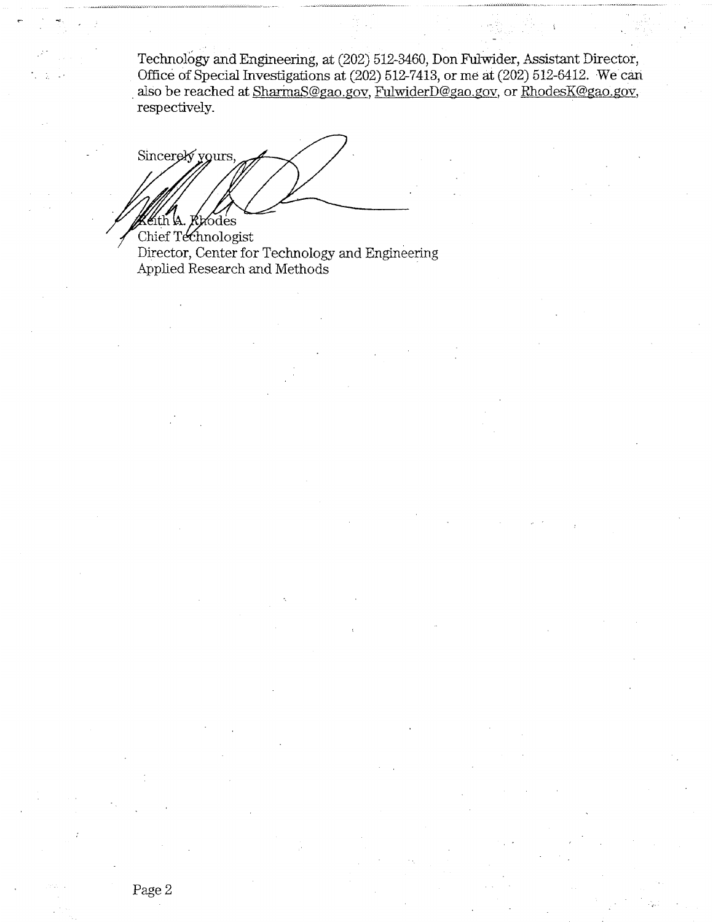Technology and Engineering, at (202) 512-3460, Don Fulwider, Assistant Director, Office of Special Investigations at (202) 512-7413, or me at (202) 512-6412. We can also be reached at SharmaS@gao.gov, FulwiderD@gao.gov, or RhodesK@gao.gov, respectively.

Sincerely yours, Khodes th VA.

Chief Technologist Director, Center for Technology and Engineering Applied Research and Methods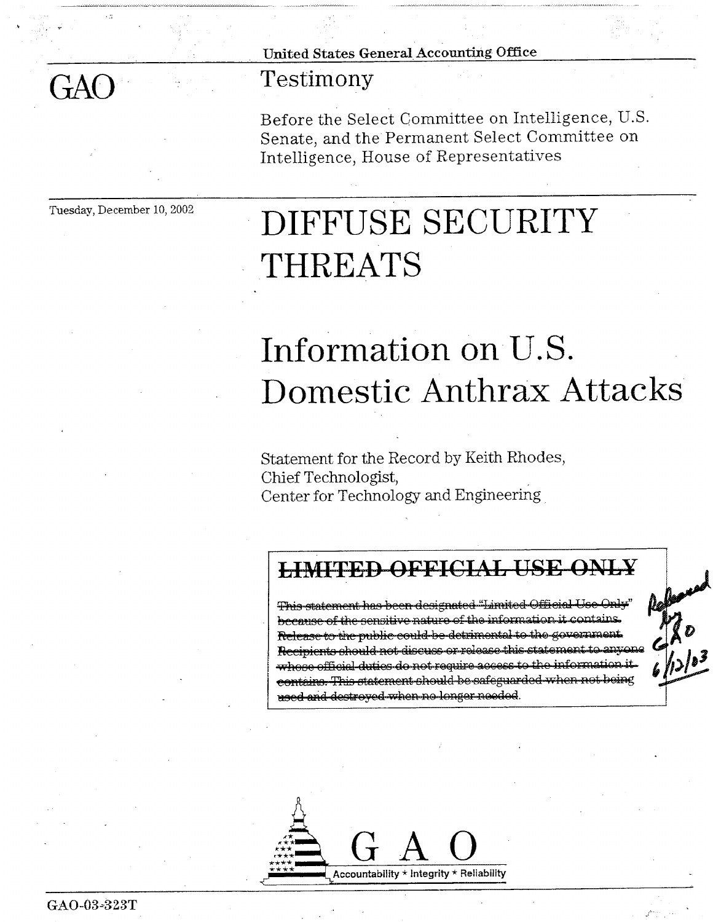United States General Accounting Office

### Testimony

Before the Select Committee on Intelligence, U.S. Senate, and the Permanent Select Committee on Intelligence, House of Representatives

Tuesday, December 10, 2002

 $GAO$ 

# DIFFUSE SECURITY THREATS

## Information on U.S. Domestic Anthrax Attacks

Statement for the Record by Keith Rhodes, Chief Technologist, Center for Technology and Engineering

### **LIMITED OFFICIAL USE ONLY**

This statement has been designated "Limited Official because of the sensitive nature of the information it contains. Release to the public could be detrimental to the government. Recipients should not discuss or release this statement to anyone whose official duties do not require access to the information it contains. This statement should be safeguarded when not being used and destroyed when no longer needed.

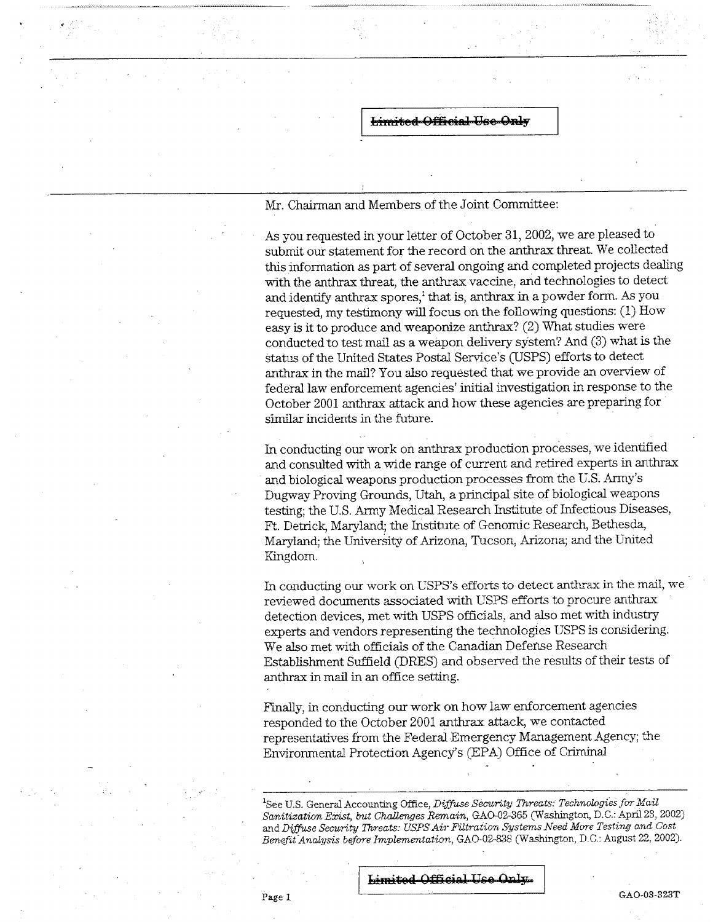Mr. Chairman and Members of the Joint Committee:

As you requested in your letter of October 31, 2002, we are pleased to submit our statement for the record on the anthrax threat. We collected this information as part of several ongoing and completed projects dealing with the anthrax threat, the anthrax vaccine, and technologies to detect and identify anthrax spores,<sup>1</sup> that is, anthrax in a powder form. As you requested, my testimony will focus on the following questions: (1) How easy is it to produce and weaponize anthrax? (2) What studies were conducted to test mail as a weapon delivery system? And (3) what is the status of the United States Postal Service's (USPS) efforts to detect anthrax in the mail? You also requested that we provide an overview of federal law enforcement agencies' initial investigation in response to the October 2001 anthrax attack and how these agencies are preparing for similar incidents in the future.

In conducting our work on anthrax production processes, we identified and consulted with a wide range of current and retired experts in anthrax and biological weapons production processes from the U.S. Army's Dugway Proving Grounds, Utah, a principal site of biological weapons testing; the U.S. Army Medical Research Institute of Infectious Diseases, Ft. Detrick, Maryland; the Institute of Genomic Research, Bethesda, Maryland: the University of Arizona, Tucson, Arizona; and the United Kingdom.

In conducting our work on USPS's efforts to detect anthrax in the mail, we reviewed documents associated with USPS efforts to procure anthrax detection devices, met with USPS officials, and also met with industry experts and vendors representing the technologies USPS is considering. We also met with officials of the Canadian Defense Research Establishment Suffield (DRES) and observed the results of their tests of anthrax in mail in an office setting.

Finally, in conducting our work on how law enforcement agencies responded to the October 2001 anthrax attack, we contacted representatives from the Federal Emergency Management Agency; the Environmental Protection Agency's (EPA) Office of Criminal

<sup>1</sup>See U.S. General Accounting Office, Diffuse Security Threats: Technologies for Mail Sanitization Exist, but Challenges Remain, GAO-02-365 (Washington, D.C.: April 23, 2002) and Diffuse Security Threats: USPS Air Filtration Systems Need More Testing and Cost Benefit Analysis before Implementation, GAO-02-838 (Washington, D.C.: August 22, 2002).

Limited Official Use Only

GAO-03-323T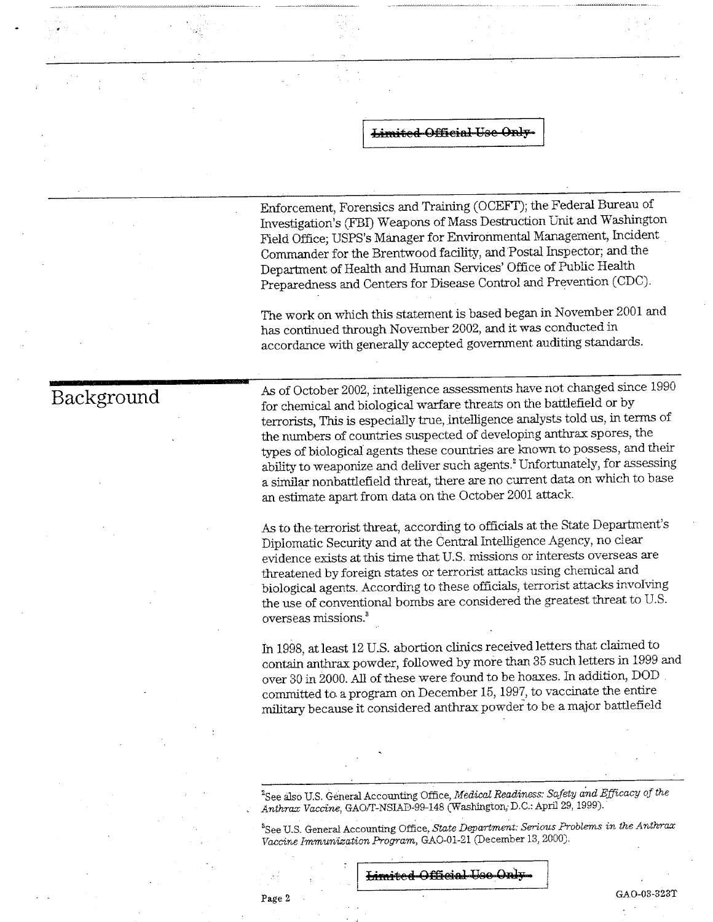Enforcement, Forensics and Training (OCEFT); the Federal Bureau of Investigation's (FBI) Weapons of Mass Destruction Unit and Washington Field Office; USPS's Manager for Environmental Management, Incident Commander for the Brentwood facility, and Postal Inspector; and the Department of Health and Human Services' Office of Public Health Preparedness and Centers for Disease Control and Prevention (CDC).

The work on which this statement is based began in November 2001 and has continued through November 2002, and it was conducted in accordance with generally accepted government auditing standards.

### Background

As of October 2002, intelligence assessments have not changed since 1990 for chemical and biological warfare threats on the battlefield or by terrorists, This is especially true, intelligence analysts told us, in terms of the numbers of countries suspected of developing anthrax spores, the types of biological agents these countries are known to possess, and their ability to weaponize and deliver such agents.<sup>2</sup> Unfortunately, for assessing a similar nonbattlefield threat, there are no current data on which to base an estimate apart from data on the October 2001 attack.

As to the terrorist threat, according to officials at the State Department's Diplomatic Security and at the Central Intelligence Agency, no clear evidence exists at this time that U.S. missions or interests overseas are threatened by foreign states or terrorist attacks using chemical and biological agents. According to these officials, terrorist attacks involving the use of conventional bombs are considered the greatest threat to U.S. overseas missions.<sup>3</sup>

In 1998, at least 12 U.S. abortion clinics received letters that claimed to contain anthrax powder, followed by more than 35 such letters in 1999 and over 30 in 2000. All of these were found to be hoaxes. In addition, DOD committed to a program on December 15, 1997, to vaccinate the entire military because it considered anthrax powder to be a major battlefield

<sup>2</sup>See also U.S. General Accounting Office, *Medical Readiness: Safety and Efficacy of the* Anthrax Vaccine, GAO/T-NSIAD-99-148 (Washington, D.C.: April 29, 1999).

<sup>8</sup>See U.S. General Accounting Office, State Department: Serious Problems in the Anthrax Vaccine Immunization Program, GAO-01-21 (December 13, 2000).

**Limited Official Use Only** 

Page 2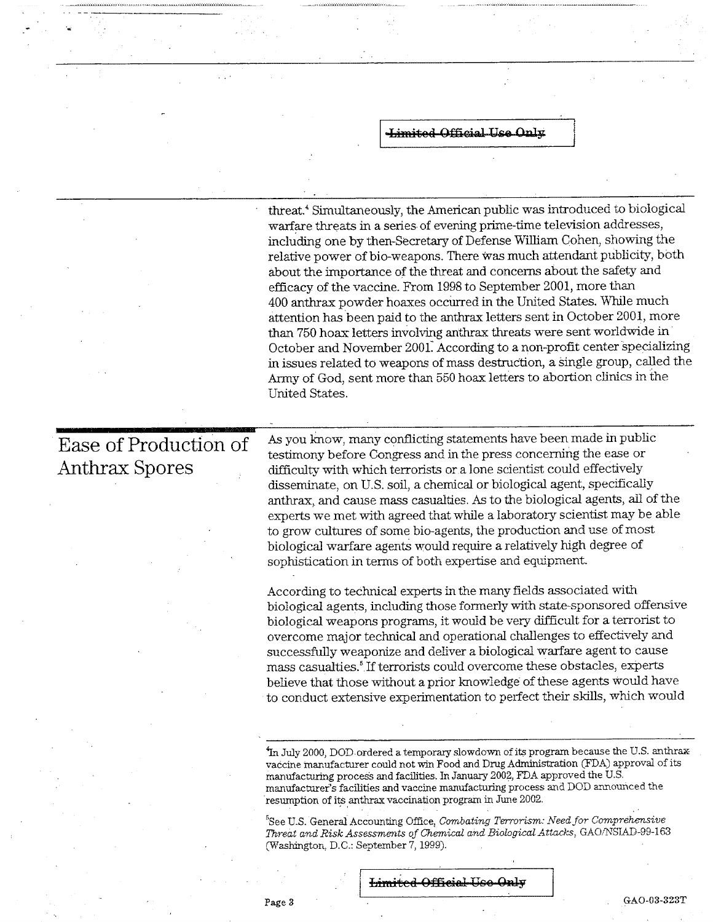<del>-Limited-Official Use Only</del>

threat.<sup>4</sup> Simultaneously, the American public was introduced to biological warfare threats in a series of evening prime-time television addresses, including one by then-Secretary of Defense William Cohen, showing the relative power of bio-weapons. There was much attendant publicity, both about the importance of the threat and concerns about the safety and efficacy of the vaccine. From 1998 to September 2001, more than 400 anthrax powder hoaxes occurred in the United States. While much attention has been paid to the anthrax letters sent in October 2001, more than 750 hoax letters involving anthrax threats were sent worldwide in October and November 2001. According to a non-profit center specializing in issues related to weapons of mass destruction, a single group, called the Army of God, sent more than 550 hoax letters to abortion clinics in the United States.

Ease of Production of **Anthrax Spores** 

As you know, many conflicting statements have been made in public testimony before Congress and in the press concerning the ease or difficulty with which terrorists or a lone scientist could effectively disseminate, on U.S. soil, a chemical or biological agent, specifically anthrax, and cause mass casualties. As to the biological agents, all of the experts we met with agreed that while a laboratory scientist may be able to grow cultures of some bio-agents, the production and use of most biological warfare agents would require a relatively high degree of sophistication in terms of both expertise and equipment.

According to technical experts in the many fields associated with biological agents, including those formerly with state-sponsored offensive biological weapons programs, it would be very difficult for a terrorist to overcome major technical and operational challenges to effectively and successfully weaponize and deliver a biological warfare agent to cause mass casualties.<sup>5</sup> If terrorists could overcome these obstacles, experts believe that those without a prior knowledge of these agents would have to conduct extensive experimentation to perfect their skills, which would

In July 2000, DOD ordered a temporary slowdown of its program because the U.S. anthrax vaccine manufacturer could not win Food and Drug Administration (FDA) approval of its manufacturing process and facilities. In January 2002, FDA approved the U.S. manufacturer's facilities and vaccine manufacturing process and DOD announced the resumption of its anthrax vaccination program in June 2002.

<sup>5</sup>See U.S. General Accounting Office, Combating Terrorism: Need for Comprehensive Threat and Risk Assessments of Chemical and Biological Attacks, GAO/NSIAD-99-163 (Washington, D.C.: September 7, 1999).

#### **Limited Official Use Only**

GAO-03-323T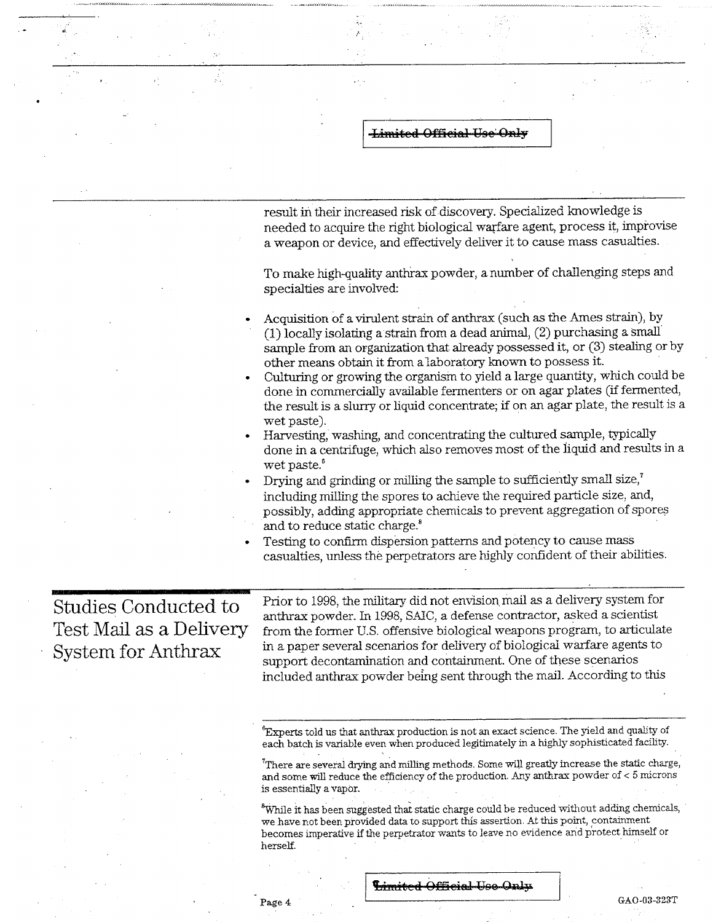result in their increased risk of discovery. Specialized knowledge is needed to acquire the right biological warfare agent, process it, improvise a weapon or device, and effectively deliver it to cause mass casualties. To make high-quality anthrax powder, a number of challenging steps and specialties are involved: Acquisition of a virulent strain of anthrax (such as the Ames strain), by (1) locally isolating a strain from a dead animal, (2) purchasing a small sample from an organization that already possessed it, or (3) stealing or by other means obtain it from a laboratory known to possess it. Culturing or growing the organism to yield a large quantity, which could be done in commercially available fermenters or on agar plates (if fermented, the result is a slurry or liquid concentrate; if on an agar plate, the result is a wet paste). Harvesting, washing, and concentrating the cultured sample, typically done in a centrifuge, which also removes most of the liquid and results in a wet paste.<sup>6</sup> Drying and grinding or milling the sample to sufficiently small size,<sup>7</sup> including milling the spores to achieve the required particle size, and, possibly, adding appropriate chemicals to prevent aggregation of spores and to reduce static charge.<sup>8</sup> Testing to confirm dispersion patterns and potency to cause mass casualties, unless the perpetrators are highly confident of their abilities. Prior to 1998, the military did not envision mail as a delivery system for **Studies Conducted to** anthrax powder. In 1998, SAIC, a defense contractor, asked a scientist **Test Mail as a Delivery** from the former U.S. offensive biological weapons program, to articulate in a paper several scenarios for delivery of biological warfare agents to **System for Anthrax** support decontamination and containment. One of these scenarios included anthrax powder being sent through the mail. According to this "Experts told us that anthrax production is not an exact science. The yield and quality of each batch is variable even when produced legitimately in a highly sophisticated facility.  $\mathrm{^{7}}$ There are several drying and milling methods. Some will greatly increase the static charge, and some will reduce the efficiency of the production. Any anthrax powder of < 5 microns is essentially a vapor. <sup>8</sup>While it has been suggested that static charge could be reduced without adding chemicals, we have not been provided data to support this assertion. At this point, containment becomes imperative if the perpetrator wants to leave no evidence and protect himself or herself.

Limited Official Use Only

**Limited Official Use Only** 

GAO-03-323T

Page 4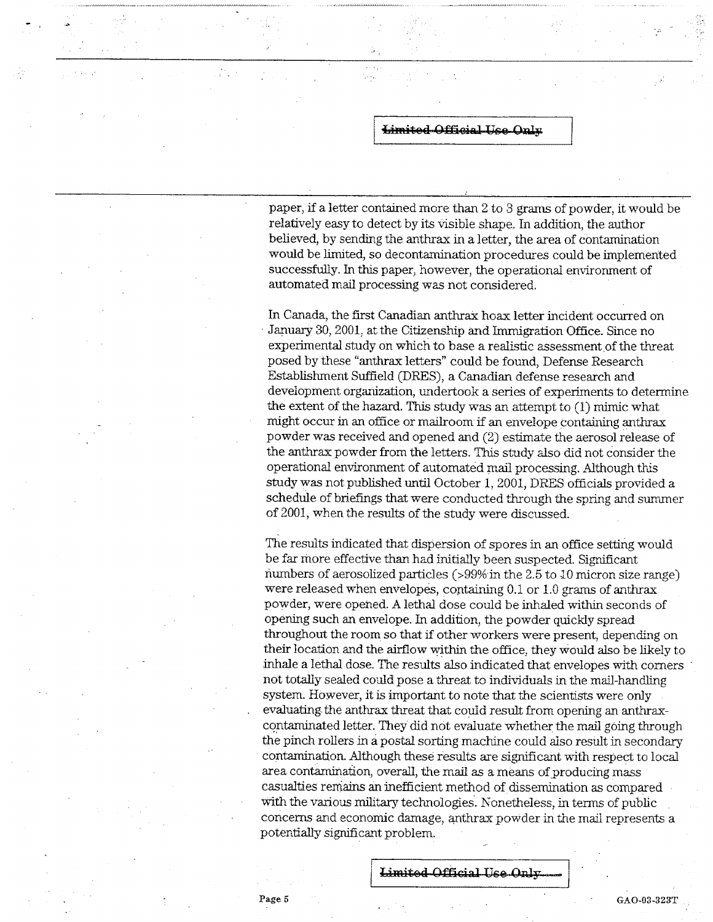paper, if a letter contained more than 2 to 3 grams of powder, it would be relatively easy to detect by its visible shape. In addition, the author believed, by sending the anthrax in a letter, the area of contamination would be limited, so decontamination procedures could be implemented successfully. In this paper, however, the operational environment of automated mail processing was not considered.

In Canada, the first Canadian anthrax hoax letter incident occurred on January 30, 2001, at the Citizenship and Immigration Office. Since no experimental study on which to base a realistic assessment of the threat posed by these "anthrax letters" could be found, Defense Research Establishment Suffield (DRES), a Canadian defense research and development organization, undertook a series of experiments to determine the extent of the hazard. This study was an attempt to  $(1)$  mimic what might occur in an office or mailroom if an envelope containing anthrax powder was received and opened and (2) estimate the aerosol release of the anthrax powder from the letters. This study also did not consider the operational environment of automated mail processing. Although this study was not published until October 1, 2001, DRES officials provided a schedule of briefings that were conducted through the spring and summer of 2001, when the results of the study were discussed.

The results indicated that dispersion of spores in an office setting would be far more effective than had initially been suspected. Significant numbers of aerosolized particles (>99% in the 2.5 to 10 micron size range) were released when envelopes, containing 0.1 or 1.0 grams of anthrax powder, were opened. A lethal dose could be inhaled within seconds of opening such an envelope. In addition, the powder quickly spread throughout the room so that if other workers were present, depending on their location and the airflow within the office, they would also be likely to inhale a lethal dose. The results also indicated that envelopes with corners not totally sealed could pose a threat to individuals in the mail-handling system. However, it is important to note that the scientists were only evaluating the anthrax threat that could result from opening an anthraxcontaminated letter. They did not evaluate whether the mail going through the pinch rollers in a postal sorting machine could also result in secondary contamination. Although these results are significant with respect to local area contamination, overall, the mail as a means of producing mass casualties remains an inefficient method of dissemination as compared with the various military technologies. Nonetheless, in terms of public concerns and economic damage, anthrax powder in the mail represents a potentially significant problem.

Limited Official Use Only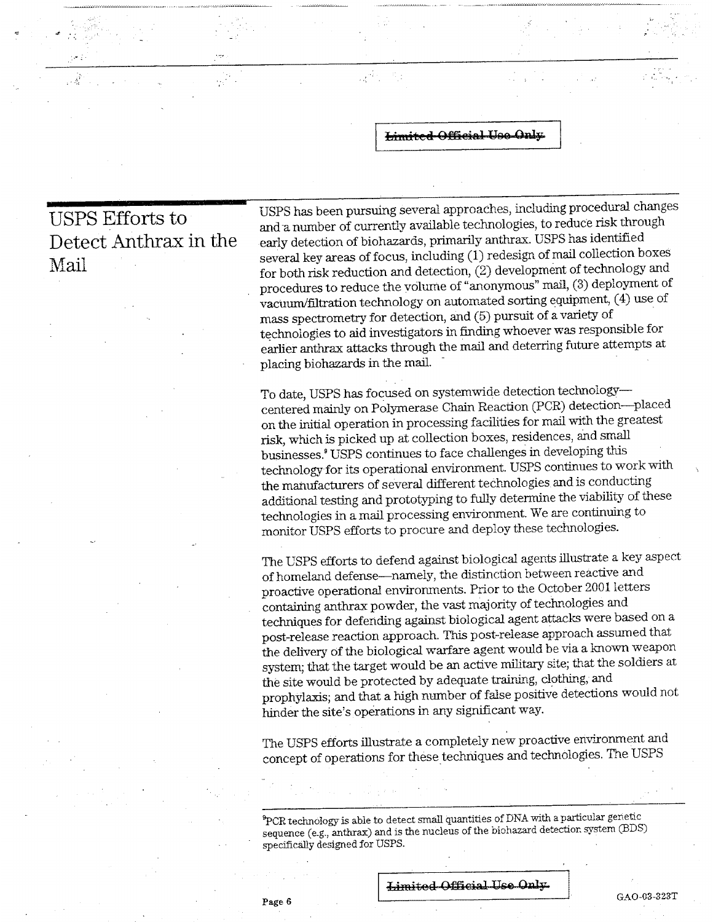ЦÝ

**USPS Efforts to** Detect Anthrax in the Mail

 $\frac{1}{\sqrt{2}}$ 

USPS has been pursuing several approaches, including procedural changes and a number of currently available technologies, to reduce risk through early detection of biohazards, primarily anthrax. USPS has identified several key areas of focus, including (1) redesign of mail collection boxes for both risk reduction and detection,  $(2)$  development of technology and procedures to reduce the volume of "anonymous" mail, (3) deployment of vacuum/filtration technology on automated sorting equipment, (4) use of mass spectrometry for detection, and (5) pursuit of a variety of technologies to aid investigators in finding whoever was responsible for earlier anthrax attacks through the mail and deterring future attempts at placing biohazards in the mail.

To date, USPS has focused on systemwide detection technologycentered mainly on Polymerase Chain Reaction (PCR) detection---placed on the initial operation in processing facilities for mail with the greatest risk, which is picked up at collection boxes, residences, and small businesses.<sup>8</sup> USPS continues to face challenges in developing this technology for its operational environment. USPS continues to work with the manufacturers of several different technologies and is conducting additional testing and prototyping to fully determine the viability of these technologies in a mail processing environment. We are continuing to monitor USPS efforts to procure and deploy these technologies.

The USPS efforts to defend against biological agents illustrate a key aspect of homeland defense-namely, the distinction between reactive and proactive operational environments. Prior to the October 2001 letters containing anthrax powder, the vast majority of technologies and techniques for defending against biological agent attacks were based on a post-release reaction approach. This post-release approach assumed that the delivery of the biological warfare agent would be via a known weapon system; that the target would be an active military site; that the soldiers at the site would be protected by adequate training, clothing, and prophylaxis; and that a high number of false positive detections would not hinder the site's operations in any significant way.

The USPS efforts illustrate a completely new proactive environment and concept of operations for these techniques and technologies. The USPS

PCR technology is able to detect small quantities of DNA with a particular genetic sequence (e.g., anthrax) and is the nucleus of the biohazard detection system (BDS) specifically designed for USPS.

Page 6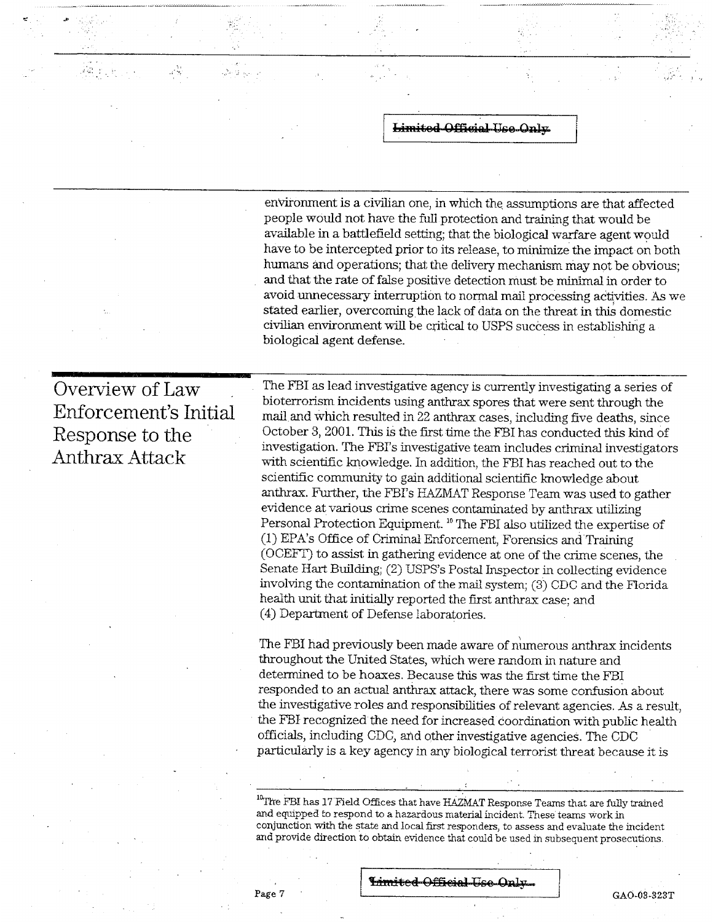environment is a civilian one, in which the assumptions are that affected people would not have the full protection and training that would be available in a battlefield setting; that the biological warfare agent would have to be intercepted prior to its release, to minimize the impact on both humans and operations; that the delivery mechanism may not be obvious: and that the rate of false positive detection must be minimal in order to avoid unnecessary interruption to normal mail processing activities. As we stated earlier, overcoming the lack of data on the threat in this domestic civilian environment will be critical to USPS success in establishing a biological agent defense.

### Overview of Law Enforcement's Initial Response to the Anthrax Attack

رچ<br>وفات

The FBI as lead investigative agency is currently investigating a series of bioterrorism incidents using anthrax spores that were sent through the mail and which resulted in 22 anthrax cases, including five deaths, since October 3, 2001. This is the first time the FBI has conducted this kind of investigation. The FBI's investigative team includes criminal investigators with scientific knowledge. In addition, the FBI has reached out to the scientific community to gain additional scientific knowledge about anthrax. Further, the FBI's HAZMAT Response Team was used to gather evidence at various crime scenes contaminated by anthrax utilizing Personal Protection Equipment.<sup>10</sup> The FBI also utilized the expertise of (1) EPA's Office of Criminal Enforcement, Forensics and Training (OCEFT) to assist in gathering evidence at one of the crime scenes, the Senate Hart Building; (2) USPS's Postal Inspector in collecting evidence involving the contamination of the mail system; (3) CDC and the Florida health unit that initially reported the first anthrax case; and (4) Department of Defense laboratories.

The FBI had previously been made aware of numerous anthrax incidents throughout the United States, which were random in nature and determined to be hoaxes. Because this was the first time the FBI responded to an actual anthrax attack, there was some confusion about the investigative roles and responsibilities of relevant agencies. As a result, the FBI recognized the need for increased coordination with public health officials, including CDC, and other investigative agencies. The CDC particularly is a key agency in any biological terrorist threat because it is

<sup>10</sup>The FBI has 17 Field Offices that have HAZMAT Response Teams that are fully trained and equipped to respond to a hazardous material incident. These teams work in conjunction with the state and local first responders, to assess and evaluate the incident and provide direction to obtain evidence that could be used in subsequent prosecutions.

Page 7

Immited Official Use Only.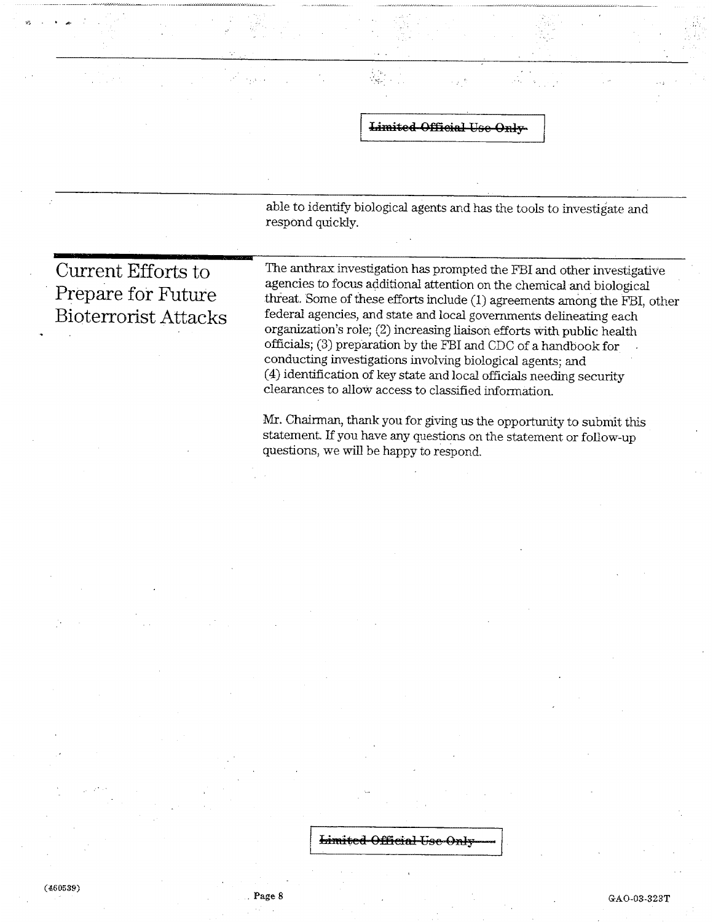able to identify biological agents and has the tools to investigate and respond quickly.

**Current Efforts to** Prepare for Future **Bioterrorist Attacks** 

The anthrax investigation has prompted the FBI and other investigative agencies to focus additional attention on the chemical and biological threat. Some of these efforts include (1) agreements among the FBI, other federal agencies, and state and local governments delineating each organization's role; (2) increasing liaison efforts with public health officials; (3) preparation by the FBI and CDC of a handbook for conducting investigations involving biological agents; and (4) identification of key state and local officials needing security clearances to allow access to classified information.

Mr. Chairman, thank you for giving us the opportunity to submit this statement. If you have any questions on the statement or follow-up questions, we will be happy to respond.

Limited Official Use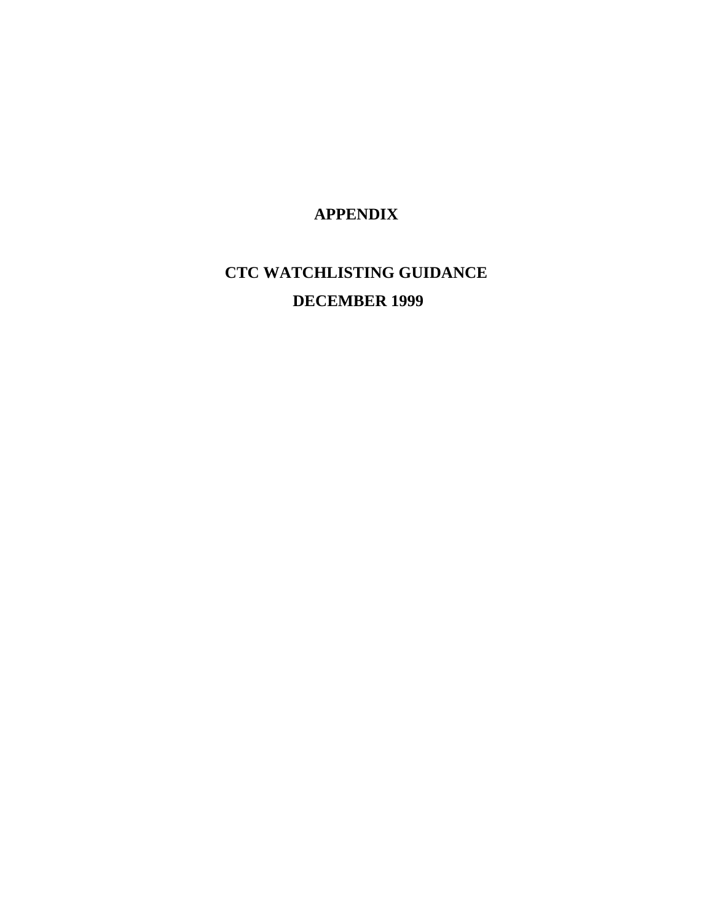### **APPENDIX**

### **CTC WATCHLISTING GUIDANCE DECEMBER 1999**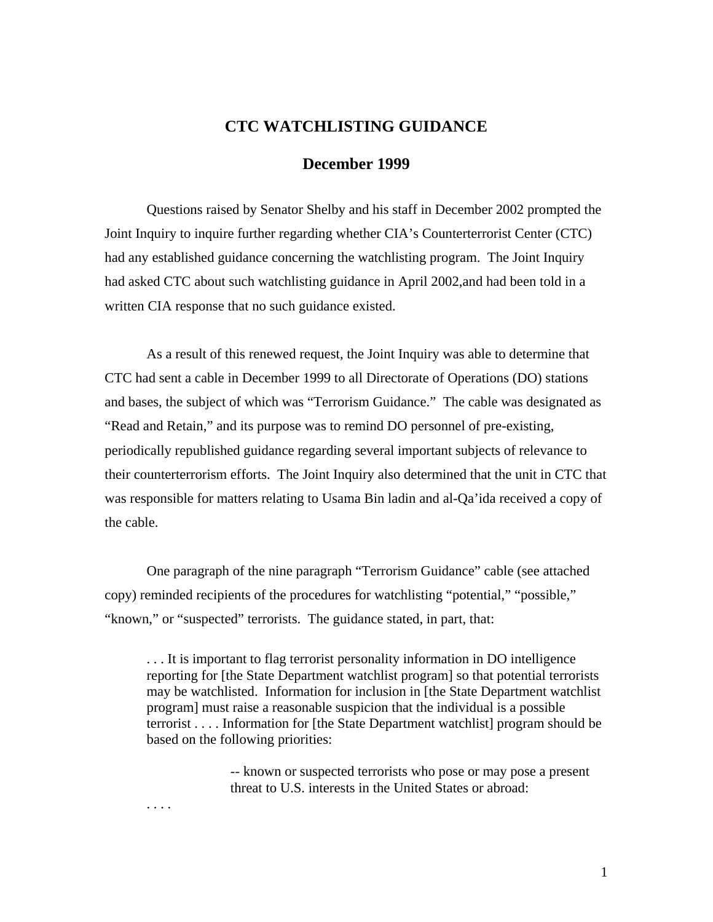#### **CTC WATCHLISTING GUIDANCE**

#### **December 1999**

Questions raised by Senator Shelby and his staff in December 2002 prompted the Joint Inquiry to inquire further regarding whether CIA's Counterterrorist Center (CTC) had any established guidance concerning the watchlisting program. The Joint Inquiry had asked CTC about such watchlisting guidance in April 2002,and had been told in a written CIA response that no such guidance existed.

As a result of this renewed request, the Joint Inquiry was able to determine that CTC had sent a cable in December 1999 to all Directorate of Operations (DO) stations and bases, the subject of which was "Terrorism Guidance." The cable was designated as "Read and Retain," and its purpose was to remind DO personnel of pre-existing, periodically republished guidance regarding several important subjects of relevance to their counterterrorism efforts. The Joint Inquiry also determined that the unit in CTC that was responsible for matters relating to Usama Bin ladin and al-Qa'ida received a copy of the cable.

One paragraph of the nine paragraph "Terrorism Guidance" cable (see attached copy) reminded recipients of the procedures for watchlisting "potential," "possible," "known," or "suspected" terrorists. The guidance stated, in part, that:

. . . It is important to flag terrorist personality information in DO intelligence reporting for [the State Department watchlist program] so that potential terrorists may be watchlisted. Information for inclusion in [the State Department watchlist program] must raise a reasonable suspicion that the individual is a possible terrorist . . . . Information for [the State Department watchlist] program should be based on the following priorities:

> -- known or suspected terrorists who pose or may pose a present threat to U.S. interests in the United States or abroad:

. . . .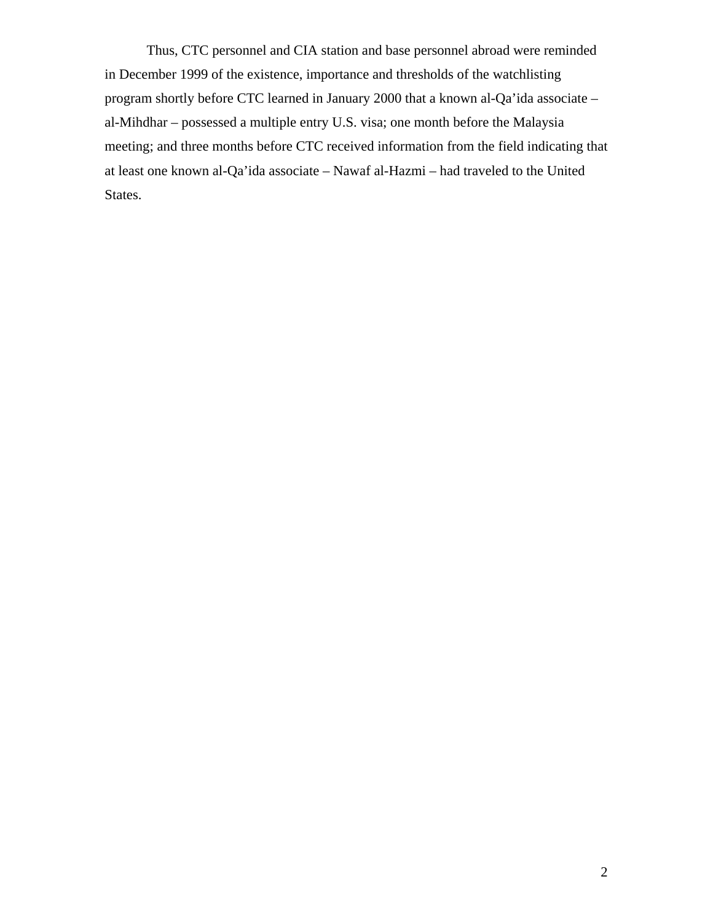Thus, CTC personnel and CIA station and base personnel abroad were reminded in December 1999 of the existence, importance and thresholds of the watchlisting program shortly before CTC learned in January 2000 that a known al-Qa'ida associate – al-Mihdhar – possessed a multiple entry U.S. visa; one month before the Malaysia meeting; and three months before CTC received information from the field indicating that at least one known al-Qa'ida associate – Nawaf al-Hazmi – had traveled to the United States.